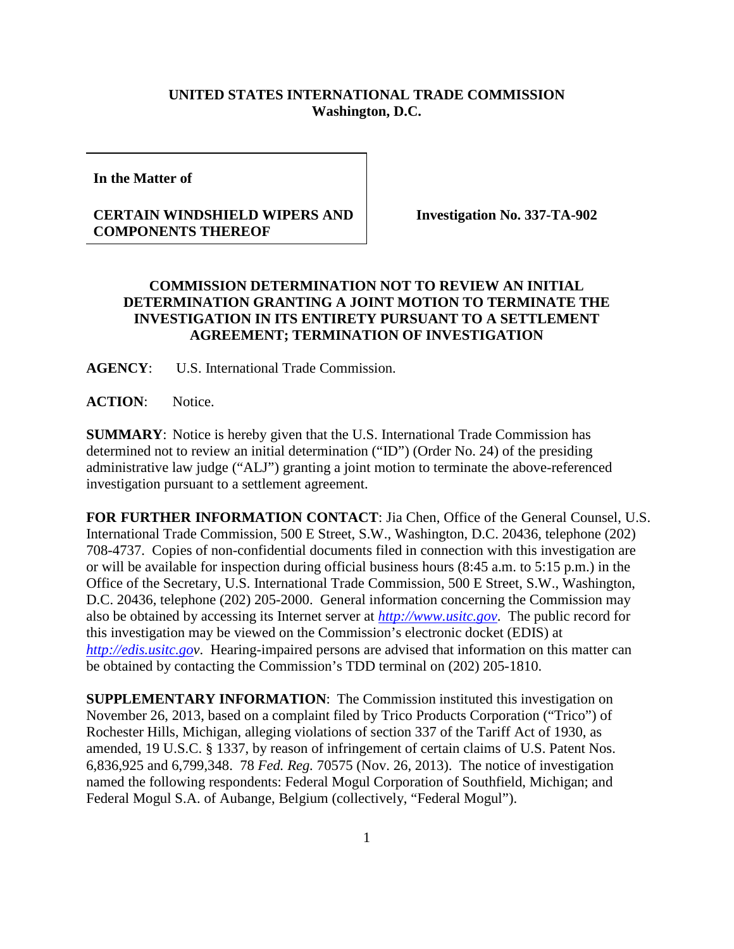## **UNITED STATES INTERNATIONAL TRADE COMMISSION Washington, D.C.**

**In the Matter of** 

## **CERTAIN WINDSHIELD WIPERS AND COMPONENTS THEREOF**

**Investigation No. 337-TA-902**

## **COMMISSION DETERMINATION NOT TO REVIEW AN INITIAL DETERMINATION GRANTING A JOINT MOTION TO TERMINATE THE INVESTIGATION IN ITS ENTIRETY PURSUANT TO A SETTLEMENT AGREEMENT; TERMINATION OF INVESTIGATION**

**AGENCY**: U.S. International Trade Commission.

**ACTION**: Notice.

**SUMMARY**: Notice is hereby given that the U.S. International Trade Commission has determined not to review an initial determination ("ID") (Order No. 24) of the presiding administrative law judge ("ALJ") granting a joint motion to terminate the above-referenced investigation pursuant to a settlement agreement.

**FOR FURTHER INFORMATION CONTACT**: Jia Chen, Office of the General Counsel, U.S. International Trade Commission, 500 E Street, S.W., Washington, D.C. 20436, telephone (202) 708-4737. Copies of non-confidential documents filed in connection with this investigation are or will be available for inspection during official business hours (8:45 a.m. to 5:15 p.m.) in the Office of the Secretary, U.S. International Trade Commission, 500 E Street, S.W., Washington, D.C. 20436, telephone (202) 205-2000. General information concerning the Commission may also be obtained by accessing its Internet server at *[http://www.usitc.gov](http://www.usitc.gov/)*. The public record for this investigation may be viewed on the Commission's electronic docket (EDIS) at *[http://edis.usitc.gov](http://edis.usitc.go/)*. Hearing-impaired persons are advised that information on this matter can be obtained by contacting the Commission's TDD terminal on (202) 205-1810.

**SUPPLEMENTARY INFORMATION**: The Commission instituted this investigation on November 26, 2013, based on a complaint filed by Trico Products Corporation ("Trico") of Rochester Hills, Michigan, alleging violations of section 337 of the Tariff Act of 1930, as amended, 19 U.S.C. § 1337, by reason of infringement of certain claims of U.S. Patent Nos. 6,836,925 and 6,799,348. 78 *Fed. Reg.* 70575 (Nov. 26, 2013).The notice of investigation named the following respondents: Federal Mogul Corporation of Southfield, Michigan; and Federal Mogul S.A. of Aubange, Belgium (collectively, "Federal Mogul").